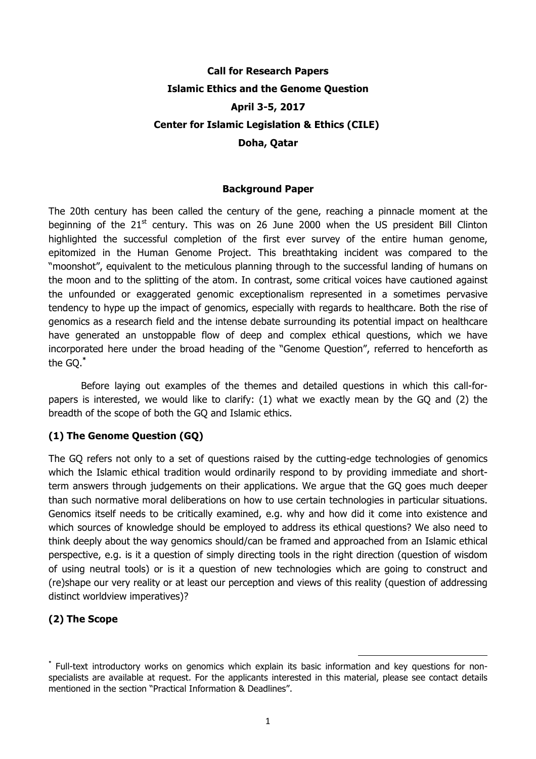# **Call for Research Papers Islamic Ethics and the Genome Question April 3-5, 2017 Center for Islamic Legislation & Ethics (CILE) Doha, Qatar**

#### **Background Paper**

The 20th century has been called the century of the gene, reaching a pinnacle moment at the beginning of the  $21<sup>st</sup>$  century. This was on 26 June 2000 when the US president Bill Clinton highlighted the successful completion of the first ever survey of the entire human genome, epitomized in the Human Genome Project. This breathtaking incident was compared to the "moonshot", equivalent to the meticulous planning through to the successful landing of humans on the moon and to the splitting of the atom. In contrast, some critical voices have cautioned against the unfounded or exaggerated genomic exceptionalism represented in a sometimes pervasive tendency to hype up the impact of genomics, especially with regards to healthcare. Both the rise of genomics as a research field and the intense debate surrounding its potential impact on healthcare have generated an unstoppable flow of deep and complex ethical questions, which we have incorporated here under the broad heading of the "Genome Question", referred to henceforth as the GQ. **\***

Before laying out examples of the themes and detailed questions in which this call-forpapers is interested, we would like to clarify: (1) what we exactly mean by the GQ and (2) the breadth of the scope of both the GQ and Islamic ethics.

### **(1) The Genome Question (GQ)**

The GQ refers not only to a set of questions raised by the cutting-edge technologies of genomics which the Islamic ethical tradition would ordinarily respond to by providing immediate and shortterm answers through judgements on their applications. We argue that the GQ goes much deeper than such normative moral deliberations on how to use certain technologies in particular situations. Genomics itself needs to be critically examined, e.g. why and how did it come into existence and which sources of knowledge should be employed to address its ethical questions? We also need to think deeply about the way genomics should/can be framed and approached from an Islamic ethical perspective, e.g. is it a question of simply directing tools in the right direction (question of wisdom of using neutral tools) or is it a question of new technologies which are going to construct and (re)shape our very reality or at least our perception and views of this reality (question of addressing distinct worldview imperatives)?

## **(2) The Scope**

<u> 1989 - Johann Barn, mars ann an t-Amhain an t-Amhain an t-Amhain an t-Amhain an t-Amhain an t-Amhain an t-Amh</u>

**<sup>\*</sup>** Full-text introductory works on genomics which explain its basic information and key questions for nonspecialists are available at request. For the applicants interested in this material, please see contact details mentioned in the section "Practical Information & Deadlines".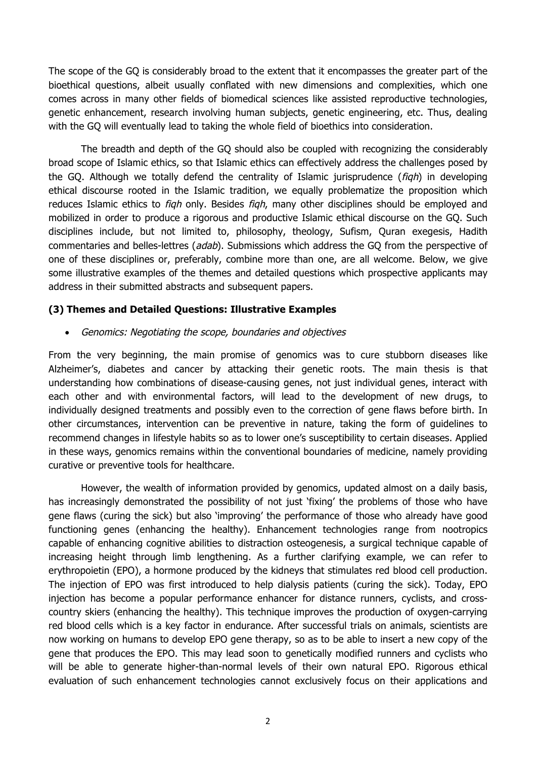The scope of the GQ is considerably broad to the extent that it encompasses the greater part of the bioethical questions, albeit usually conflated with new dimensions and complexities, which one comes across in many other fields of biomedical sciences like assisted reproductive technologies, genetic enhancement, research involving human subjects, genetic engineering, etc. Thus, dealing with the GQ will eventually lead to taking the whole field of bioethics into consideration.

The breadth and depth of the GQ should also be coupled with recognizing the considerably broad scope of Islamic ethics, so that Islamic ethics can effectively address the challenges posed by the GQ. Although we totally defend the centrality of Islamic jurisprudence  $(figh)$  in developing ethical discourse rooted in the Islamic tradition, we equally problematize the proposition which reduces Islamic ethics to *figh* only. Besides *figh*, many other disciplines should be employed and mobilized in order to produce a rigorous and productive Islamic ethical discourse on the GQ. Such disciplines include, but not limited to, philosophy, theology, Sufism, Quran exegesis, Hadith commentaries and belles-lettres (adab). Submissions which address the GQ from the perspective of one of these disciplines or, preferably, combine more than one, are all welcome. Below, we give some illustrative examples of the themes and detailed questions which prospective applicants may address in their submitted abstracts and subsequent papers.

#### **(3) Themes and Detailed Questions: Illustrative Examples**

• Genomics: Negotiating the scope, boundaries and objectives

From the very beginning, the main promise of genomics was to cure stubborn diseases like Alzheimer's, diabetes and cancer by attacking their genetic roots. The main thesis is that understanding how combinations of disease-causing genes, not just individual genes, interact with each other and with environmental factors, will lead to the development of new drugs, to individually designed treatments and possibly even to the correction of gene flaws before birth. In other circumstances, intervention can be preventive in nature, taking the form of guidelines to recommend changes in lifestyle habits so as to lower one's susceptibility to certain diseases. Applied in these ways, genomics remains within the conventional boundaries of medicine, namely providing curative or preventive tools for healthcare.

However, the wealth of information provided by genomics, updated almost on a daily basis, has increasingly demonstrated the possibility of not just 'fixing' the problems of those who have gene flaws (curing the sick) but also 'improving' the performance of those who already have good functioning genes (enhancing the healthy). Enhancement technologies range from nootropics capable of enhancing cognitive abilities to distraction osteogenesis, a surgical technique capable of increasing height through limb lengthening. As a further clarifying example, we can refer to erythropoietin (EPO), a hormone produced by the kidneys that stimulates red blood cell production. The injection of EPO was first introduced to help dialysis patients (curing the sick). Today, EPO injection has become a popular performance enhancer for distance runners, cyclists, and crosscountry skiers (enhancing the healthy). This technique improves the production of oxygen-carrying red blood cells which is a key factor in endurance. After successful trials on animals, scientists are now working on humans to develop EPO gene therapy, so as to be able to insert a new copy of the gene that produces the EPO. This may lead soon to genetically modified runners and cyclists who will be able to generate higher-than-normal levels of their own natural EPO. Rigorous ethical evaluation of such enhancement technologies cannot exclusively focus on their applications and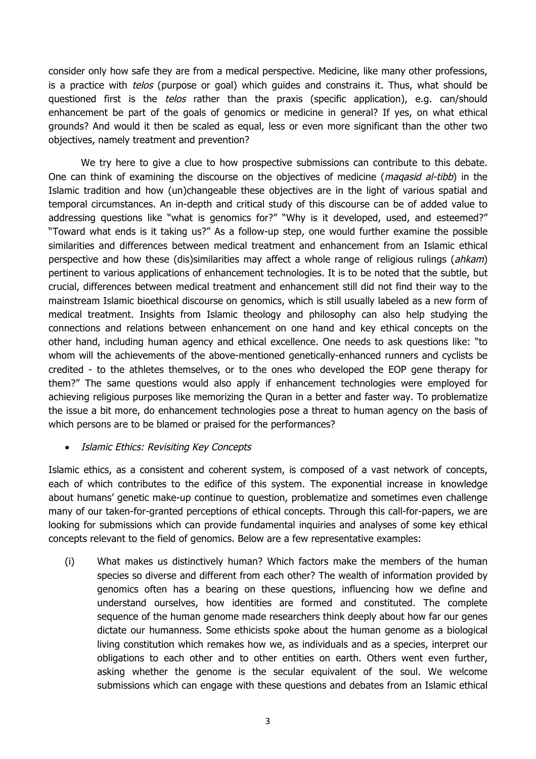consider only how safe they are from a medical perspective. Medicine, like many other professions, is a practice with *telos* (purpose or goal) which guides and constrains it. Thus, what should be questioned first is the *telos* rather than the praxis (specific application), e.g. can/should enhancement be part of the goals of genomics or medicine in general? If yes, on what ethical grounds? And would it then be scaled as equal, less or even more significant than the other two objectives, namely treatment and prevention?

We try here to give a clue to how prospective submissions can contribute to this debate. One can think of examining the discourse on the objectives of medicine (*magasid al-tibb*) in the Islamic tradition and how (un)changeable these objectives are in the light of various spatial and temporal circumstances. An in-depth and critical study of this discourse can be of added value to addressing questions like "what is genomics for?" "Why is it developed, used, and esteemed?" "Toward what ends is it taking us?" As a follow-up step, one would further examine the possible similarities and differences between medical treatment and enhancement from an Islamic ethical perspective and how these (dis)similarities may affect a whole range of religious rulings (ahkam) pertinent to various applications of enhancement technologies. It is to be noted that the subtle, but crucial, differences between medical treatment and enhancement still did not find their way to the mainstream Islamic bioethical discourse on genomics, which is still usually labeled as a new form of medical treatment. Insights from Islamic theology and philosophy can also help studying the connections and relations between enhancement on one hand and key ethical concepts on the other hand, including human agency and ethical excellence. One needs to ask questions like: "to whom will the achievements of the above-mentioned genetically-enhanced runners and cyclists be credited - to the athletes themselves, or to the ones who developed the EOP gene therapy for them?" The same questions would also apply if enhancement technologies were employed for achieving religious purposes like memorizing the Quran in a better and faster way. To problematize the issue a bit more, do enhancement technologies pose a threat to human agency on the basis of which persons are to be blamed or praised for the performances?

#### • Islamic Ethics: Revisiting Key Concepts

Islamic ethics, as a consistent and coherent system, is composed of a vast network of concepts, each of which contributes to the edifice of this system. The exponential increase in knowledge about humans' genetic make-up continue to question, problematize and sometimes even challenge many of our taken-for-granted perceptions of ethical concepts. Through this call-for-papers, we are looking for submissions which can provide fundamental inquiries and analyses of some key ethical concepts relevant to the field of genomics. Below are a few representative examples:

(i) What makes us distinctively human? Which factors make the members of the human species so diverse and different from each other? The wealth of information provided by genomics often has a bearing on these questions, influencing how we define and understand ourselves, how identities are formed and constituted. The complete sequence of the human genome made researchers think deeply about how far our genes dictate our humanness. Some ethicists spoke about the human genome as a biological living constitution which remakes how we, as individuals and as a species, interpret our obligations to each other and to other entities on earth. Others went even further, asking whether the genome is the secular equivalent of the soul. We welcome submissions which can engage with these questions and debates from an Islamic ethical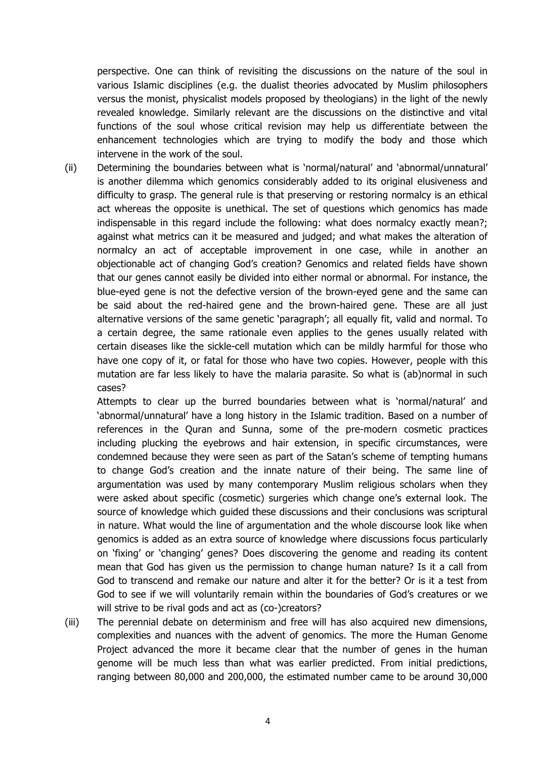perspective. One can think of revisiting the discussions on the nature of the soul in various Islamic disciplines (e.g. the dualist theories advocated by Muslim philosophers versus the monist, physicalist models proposed by theologians) in the light of the newly revealed knowledge. Similarly relevant are the discussions on the distinctive and vital functions of the soul whose critical revision may help us differentiate between the enhancement technologies which are trying to modify the body and those which intervene in the work of the soul.

(ii) Determining the boundaries between what is 'normal/natural' and 'abnormal/unnatural' is another dilemma which genomics considerably added to its original elusiveness and difficulty to grasp. The general rule is that preserving or restoring normalcy is an ethical act whereas the opposite is unethical. The set of questions which genomics has made indispensable in this regard include the following: what does normalcy exactly mean?; against what metrics can it be measured and judged; and what makes the alteration of normalcy an act of acceptable improvement in one case, while in another an objectionable act of changing God's creation? Genomics and related fields have shown that our genes cannot easily be divided into either normal or abnormal. For instance, the blue-eyed gene is not the defective version of the brown-eyed gene and the same can be said about the red-haired gene and the brown-haired gene. These are all just alternative versions of the same genetic 'paragraph'; all equally fit, valid and normal. To a certain degree, the same rationale even applies to the genes usually related with certain diseases like the sickle-cell mutation which can be mildly harmful for those who have one copy of it, or fatal for those who have two copies. However, people with this mutation are far less likely to have the malaria parasite. So what is (ab)normal in such cases?

Attempts to clear up the burred boundaries between what is 'normal/natural' and 'abnormal/unnatural' have a long history in the Islamic tradition. Based on a number of references in the Quran and Sunna, some of the pre-modern cosmetic practices including plucking the eyebrows and hair extension, in specific circumstances, were condemned because they were seen as part of the Satan's scheme of tempting humans to change God's creation and the innate nature of their being. The same line of argumentation was used by many contemporary Muslim religious scholars when they were asked about specific (cosmetic) surgeries which change one's external look. The source of knowledge which guided these discussions and their conclusions was scriptural in nature. What would the line of argumentation and the whole discourse look like when genomics is added as an extra source of knowledge where discussions focus particularly on 'fixing' or 'changing' genes? Does discovering the genome and reading its content mean that God has given us the permission to change human nature? Is it a call from God to transcend and remake our nature and alter it for the better? Or is it a test from God to see if we will voluntarily remain within the boundaries of God's creatures or we will strive to be rival gods and act as (co-)creators?

(iii) The perennial debate on determinism and free will has also acquired new dimensions, complexities and nuances with the advent of genomics. The more the Human Genome Project advanced the more it became clear that the number of genes in the human genome will be much less than what was earlier predicted. From initial predictions, ranging between 80,000 and 200,000, the estimated number came to be around 30,000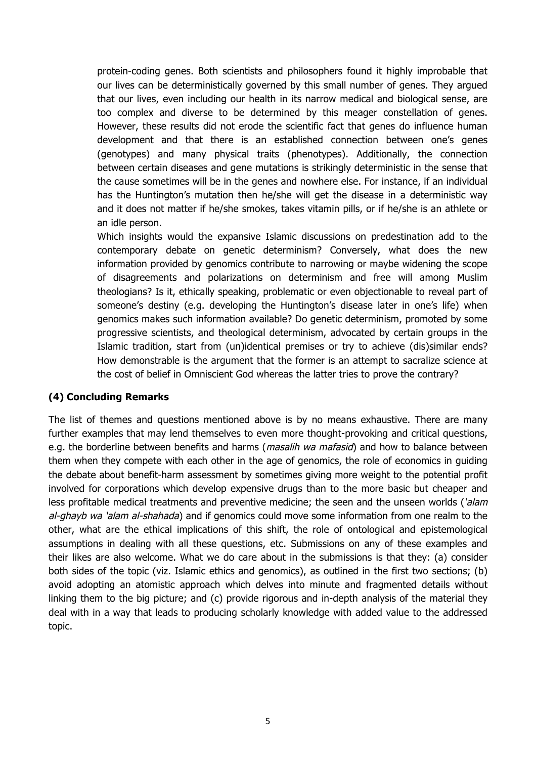protein-coding genes. Both scientists and philosophers found it highly improbable that our lives can be deterministically governed by this small number of genes. They argued that our lives, even including our health in its narrow medical and biological sense, are too complex and diverse to be determined by this meager constellation of genes. However, these results did not erode the scientific fact that genes do influence human development and that there is an established connection between one's genes (genotypes) and many physical traits (phenotypes). Additionally, the connection between certain diseases and gene mutations is strikingly deterministic in the sense that the cause sometimes will be in the genes and nowhere else. For instance, if an individual has the Huntington's mutation then he/she will get the disease in a deterministic way and it does not matter if he/she smokes, takes vitamin pills, or if he/she is an athlete or an idle person.

Which insights would the expansive Islamic discussions on predestination add to the contemporary debate on genetic determinism? Conversely, what does the new information provided by genomics contribute to narrowing or maybe widening the scope of disagreements and polarizations on determinism and free will among Muslim theologians? Is it, ethically speaking, problematic or even objectionable to reveal part of someone's destiny (e.g. developing the Huntington's disease later in one's life) when genomics makes such information available? Do genetic determinism, promoted by some progressive scientists, and theological determinism, advocated by certain groups in the Islamic tradition, start from (un)identical premises or try to achieve (dis)similar ends? How demonstrable is the argument that the former is an attempt to sacralize science at the cost of belief in Omniscient God whereas the latter tries to prove the contrary?

#### **(4) Concluding Remarks**

The list of themes and questions mentioned above is by no means exhaustive. There are many further examples that may lend themselves to even more thought-provoking and critical questions, e.g. the borderline between benefits and harms (*masalih wa mafasid*) and how to balance between them when they compete with each other in the age of genomics, the role of economics in guiding the debate about benefit-harm assessment by sometimes giving more weight to the potential profit involved for corporations which develop expensive drugs than to the more basic but cheaper and less profitable medical treatments and preventive medicine; the seen and the unseen worlds ('alam al-ghayb wa 'alam al-shahada) and if genomics could move some information from one realm to the other, what are the ethical implications of this shift, the role of ontological and epistemological assumptions in dealing with all these questions, etc. Submissions on any of these examples and their likes are also welcome. What we do care about in the submissions is that they: (a) consider both sides of the topic (viz. Islamic ethics and genomics), as outlined in the first two sections; (b) avoid adopting an atomistic approach which delves into minute and fragmented details without linking them to the big picture; and (c) provide rigorous and in-depth analysis of the material they deal with in a way that leads to producing scholarly knowledge with added value to the addressed topic.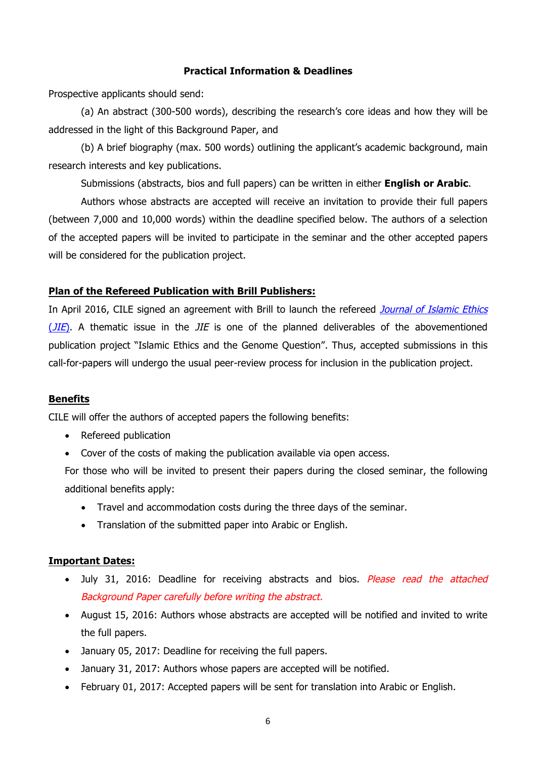#### **Practical Information & Deadlines**

Prospective applicants should send:

(a) An abstract (300-500 words), describing the research's core ideas and how they will be addressed in the light of this Background Paper, and

(b) A brief biography (max. 500 words) outlining the applicant's academic background, main research interests and key publications.

Submissions (abstracts, bios and full papers) can be written in either **English or Arabic**.

Authors whose abstracts are accepted will receive an invitation to provide their full papers (between 7,000 and 10,000 words) within the deadline specified below. The authors of a selection of the accepted papers will be invited to participate in the seminar and the other accepted papers will be considered for the publication project.

#### **Plan of the Refereed Publication with Brill Publishers:**

In April 2016, CILE signed an agreement with Brill to launch the refereed Journal of Islamic Ethics  $(JIE)$ . A thematic issue in the  $JIE$  is one of the planned deliverables of the abovementioned publication project "Islamic Ethics and the Genome Question". Thus, accepted submissions in this call-for-papers will undergo the usual peer-review process for inclusion in the publication project.

#### **Benefits**

CILE will offer the authors of accepted papers the following benefits:

- Refereed publication
- Cover of the costs of making the publication available via open access.

For those who will be invited to present their papers during the closed seminar, the following additional benefits apply:

- Travel and accommodation costs during the three days of the seminar.
- Translation of the submitted paper into Arabic or English.

#### **Important Dates:**

- July 31, 2016: Deadline for receiving abstracts and bios. Please read the attached Background Paper carefully before writing the abstract.
- August 15, 2016: Authors whose abstracts are accepted will be notified and invited to write the full papers.
- January 05, 2017: Deadline for receiving the full papers.
- January 31, 2017: Authors whose papers are accepted will be notified.
- February 01, 2017: Accepted papers will be sent for translation into Arabic or English.